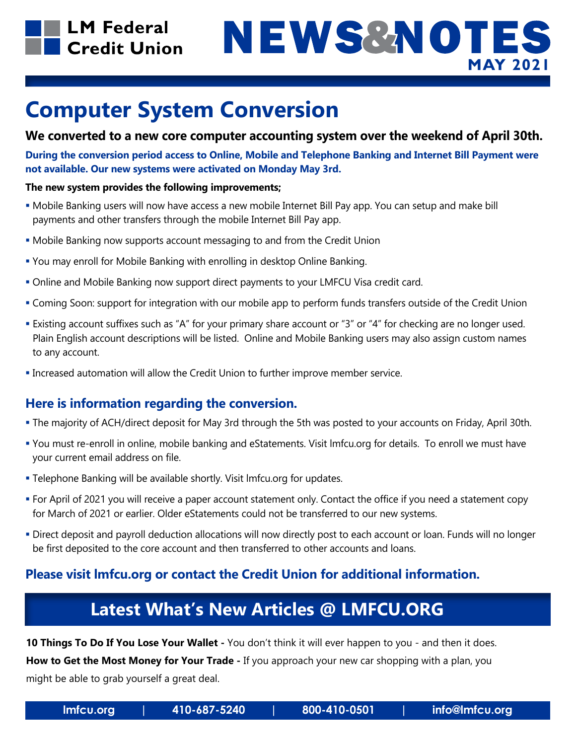

## NEWS&NOTES **MAY 2021**

## **Computer System Conversion**

### **We converted to a new core computer accounting system over the weekend of April 30th.**

**During the conversion period access to Online, Mobile and Telephone Banking and Internet Bill Payment were not available. Our new systems were activated on Monday May 3rd.** 

#### **The new system provides the following improvements;**

- Mobile Banking users will now have access a new mobile Internet Bill Pay app. You can setup and make bill payments and other transfers through the mobile Internet Bill Pay app.
- Mobile Banking now supports account messaging to and from the Credit Union
- You may enroll for Mobile Banking with enrolling in desktop Online Banking.
- Online and Mobile Banking now support direct payments to your LMFCU Visa credit card.
- Coming Soon: support for integration with our mobile app to perform funds transfers outside of the Credit Union
- Existing account suffixes such as "A" for your primary share account or "3" or "4" for checking are no longer used. Plain English account descriptions will be listed. Online and Mobile Banking users may also assign custom names to any account.
- Increased automation will allow the Credit Union to further improve member service.

### **Here is information regarding the conversion.**

- The majority of ACH/direct deposit for May 3rd through the 5th was posted to your accounts on Friday, April 30th.
- You must re-enroll in online, mobile banking and eStatements. Visit lmfcu.org for details. To enroll we must have your current email address on file.
- Telephone Banking will be available shortly. Visit lmfcu.org for updates.
- For April of 2021 you will receive a paper account statement only. Contact the office if you need a statement copy for March of 2021 or earlier. Older eStatements could not be transferred to our new systems.
- Direct deposit and payroll deduction allocations will now directly post to each account or loan. Funds will no longer be first deposited to the core account and then transferred to other accounts and loans.

### **Please visit lmfcu.org or contact the Credit Union for additional information.**

### **Latest What's New Articles @ LMFCU.ORG**

**10 Things To Do If You Lose Your Wallet -** You don't think it will ever happen to you - and then it does.

**How to Get the Most Money for Your Trade -** If you approach your new car shopping with a plan, you might be able to grab yourself a great deal.